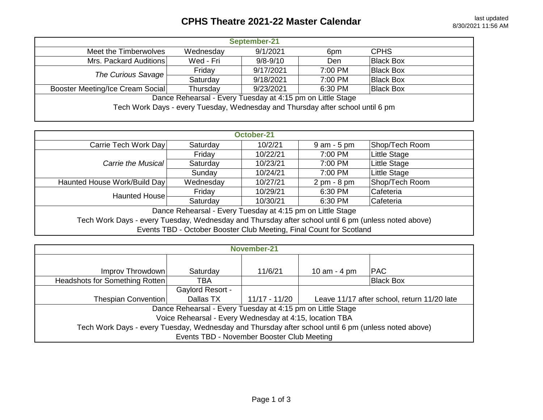## **CPHS Theatre 2021-22 Master Calendar** last updated last updated

| Wednesday                                                                      | 9/1/2021     | 6pm     | <b>CPHS</b>      |  |  |  |
|--------------------------------------------------------------------------------|--------------|---------|------------------|--|--|--|
| Wed - Fri                                                                      | $9/8 - 9/10$ | Den.    | <b>Black Box</b> |  |  |  |
| Friday                                                                         | 9/17/2021    | 7:00 PM | <b>Black Box</b> |  |  |  |
| Saturday                                                                       | 9/18/2021    | 7:00 PM | <b>Black Box</b> |  |  |  |
| Thursday                                                                       | 9/23/2021    | 6:30 PM | <b>Black Box</b> |  |  |  |
| Dance Rehearsal - Every Tuesday at 4:15 pm on Little Stage                     |              |         |                  |  |  |  |
| Tech Work Days - every Tuesday, Wednesday and Thursday after school until 6 pm |              |         |                  |  |  |  |
|                                                                                |              |         |                  |  |  |  |
|                                                                                |              |         |                  |  |  |  |

| October-21                                                                                          |           |          |                               |                |  |  |
|-----------------------------------------------------------------------------------------------------|-----------|----------|-------------------------------|----------------|--|--|
| Carrie Tech Work Day                                                                                | Saturday  | 10/2/21  | $9$ am - $5$ pm               | Shop/Tech Room |  |  |
|                                                                                                     | Friday    | 10/22/21 | 7:00 PM                       | Little Stage   |  |  |
| Carrie the Musical                                                                                  | Saturday  | 10/23/21 | 7:00 PM                       | Little Stage   |  |  |
|                                                                                                     | Sunday    | 10/24/21 | 7:00 PM                       | Little Stage   |  |  |
| Haunted House Work/Build Day                                                                        | Wednesday | 10/27/21 | $2 \text{ pm} - 8 \text{ pm}$ | Shop/Tech Room |  |  |
| Haunted House                                                                                       | Friday    | 10/29/21 | 6:30 PM                       | Cafeteria      |  |  |
|                                                                                                     | Saturday  | 10/30/21 | 6:30 PM                       | Cafeteria      |  |  |
| Dance Rehearsal - Every Tuesday at 4:15 pm on Little Stage                                          |           |          |                               |                |  |  |
| Tech Work Days - every Tuesday, Wednesday and Thursday after school until 6 pm (unless noted above) |           |          |                               |                |  |  |
| Events TBD - October Booster Club Meeting, Final Count for Scotland                                 |           |          |                               |                |  |  |

| November-21                                                                                         |           |               |                                             |                  |  |  |  |
|-----------------------------------------------------------------------------------------------------|-----------|---------------|---------------------------------------------|------------------|--|--|--|
|                                                                                                     |           |               |                                             |                  |  |  |  |
| Improv Throwdown                                                                                    | Saturday  | 11/6/21       | 10 am $-$ 4 pm                              | <b>PAC</b>       |  |  |  |
| Headshots for Something Rotten                                                                      | TBA       |               |                                             | <b>Black Box</b> |  |  |  |
| <b>Gaylord Resort -</b>                                                                             |           |               |                                             |                  |  |  |  |
| Thespian Convention                                                                                 | Dallas TX | 11/17 - 11/20 | Leave 11/17 after school, return 11/20 late |                  |  |  |  |
| Dance Rehearsal - Every Tuesday at 4:15 pm on Little Stage                                          |           |               |                                             |                  |  |  |  |
| Voice Rehearsal - Every Wednesday at 4:15, location TBA                                             |           |               |                                             |                  |  |  |  |
| Tech Work Days - every Tuesday, Wednesday and Thursday after school until 6 pm (unless noted above) |           |               |                                             |                  |  |  |  |
| Events TBD - November Booster Club Meeting                                                          |           |               |                                             |                  |  |  |  |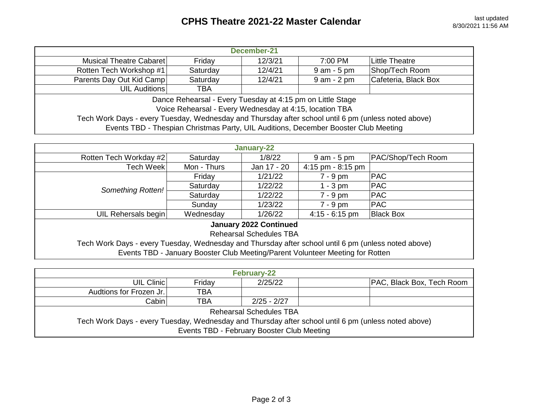| December-21                                                                                         |            |         |                |                      |  |  |
|-----------------------------------------------------------------------------------------------------|------------|---------|----------------|----------------------|--|--|
| Musical Theatre Cabaret                                                                             | Friday     | 12/3/21 | 7:00 PM        | Little Theatre       |  |  |
| Rotten Tech Workshop #1                                                                             | Saturday   | 12/4/21 | $9$ am $-5$ pm | Shop/Tech Room       |  |  |
| Parents Day Out Kid Camp                                                                            | Saturday   | 12/4/21 | $9$ am $-2$ pm | Cafeteria, Black Box |  |  |
| UIL Auditions                                                                                       | <b>TBA</b> |         |                |                      |  |  |
| Dance Rehearsal - Every Tuesday at 4:15 pm on Little Stage                                          |            |         |                |                      |  |  |
| Voice Rehearsal - Every Wednesday at 4:15, location TBA                                             |            |         |                |                      |  |  |
| Tech Work Days - every Tuesday, Wednesday and Thursday after school until 6 pm (unless noted above) |            |         |                |                      |  |  |
| Events TBD - Thespian Christmas Party, UIL Auditions, December Booster Club Meeting                 |            |         |                |                      |  |  |

| January-22                                                                                                                                                                           |             |             |                   |                    |  |  |
|--------------------------------------------------------------------------------------------------------------------------------------------------------------------------------------|-------------|-------------|-------------------|--------------------|--|--|
| Rotten Tech Workday #2                                                                                                                                                               | Saturday    | 1/8/22      | $9$ am $-5$ pm    | PAC/Shop/Tech Room |  |  |
| <b>Tech Week</b>                                                                                                                                                                     | Mon - Thurs | Jan 17 - 20 | 4:15 pm - 8:15 pm |                    |  |  |
|                                                                                                                                                                                      | Friday      | 1/21/22     | $7 - 9$ pm        | PAC                |  |  |
| Something Rotten!                                                                                                                                                                    | Saturday    | 1/22/22     | $1 - 3$ pm        | <b>PAC</b>         |  |  |
|                                                                                                                                                                                      | Saturday    | 1/22/22     | $7 - 9$ pm        | <b>PAC</b>         |  |  |
|                                                                                                                                                                                      | Sunday      | 1/23/22     | $7 - 9$ pm        | <b>PAC</b>         |  |  |
| UIL Rehersals begin                                                                                                                                                                  | Wednesday   | 1/26/22     | $4:15 - 6:15$ pm  | <b>Black Box</b>   |  |  |
| <b>January 2022 Continued</b><br><b>Rehearsal Schedules TBA</b>                                                                                                                      |             |             |                   |                    |  |  |
| Tech Work Days - every Tuesday, Wednesday and Thursday after school until 6 pm (unless noted above)<br>Events TBD - January Booster Club Meeting/Parent Volunteer Meeting for Rotten |             |             |                   |                    |  |  |

| <b>February-22</b>                                                                                  |            |             |  |                                  |  |  |
|-----------------------------------------------------------------------------------------------------|------------|-------------|--|----------------------------------|--|--|
| UIL Clinic                                                                                          | Friday     | 2/25/22     |  | <b>PAC, Black Box, Tech Room</b> |  |  |
| Audtions for Frozen Jr.                                                                             | <b>TBA</b> |             |  |                                  |  |  |
| Cabin                                                                                               | <b>TBA</b> | 2/25 - 2/27 |  |                                  |  |  |
| Rehearsal Schedules TBA                                                                             |            |             |  |                                  |  |  |
| Tech Work Days - every Tuesday, Wednesday and Thursday after school until 6 pm (unless noted above) |            |             |  |                                  |  |  |
| Events TBD - February Booster Club Meeting                                                          |            |             |  |                                  |  |  |